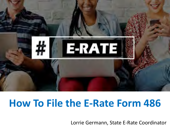

# **How To File the E-Rate Form 486**

Lorrie Germann, State E-Rate Coordinator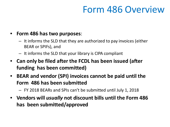# Form 486 Overview

#### • **Form 486 has two purposes**:

- It informs the SLD that they are authorized to pay invoices (either BEAR or SPIFs), and
- It informs the SLD that your library is CIPA compliant
- **Can only be filed after the FCDL has been issued (after funding has been committed)**
- **BEAR and vendor (SPI) invoices cannot be paid until the Form 486 has been submitted**
	- FY 2018 BEARs and SPIs can't be submitted until July 1, 2018
- **Vendors will** *usually* **not discount bills until the Form 486 has been submitted/approved**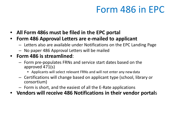# Form 486 in EPC

- **All Form 486s must be filed in the EPC portal**
- **Form 486 Approval Letters are e-mailed to applicant**
	- Letters also are available under Notifications on the EPC Landing Page
	- No paper 486 Approval Letters will be mailed

### • **Form 486 is streamlined**:

- Form pre-populates FRNs and service start dates based on the approved 471(s)
	- Applicants will select relevant FRNs and will not enter any newdata
- Certifications will change based on applicant type (school, library or consortium)
- Form is short, and the easiest of all the E-Rate applications
- **Vendors will receive 486 Notifications in their vendor portal**s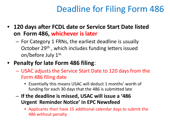# Deadline for Filing Form 486

- **120 days after FCDL date or Service Start Date listed on Form 486, whichever is later**
	- For Category 1 FRNs, the earliest deadline is usually October 29<sup>th</sup>, which includes funding letters issued on/before July 1st.
- **Penalty for late Form 486 filing**:
	- USAC adjusts the Service Start Date to 120 days from the Form 486 filing date
		- Essentially this means USAC will deduct 1 months' worth of funding for each 30 days that the 486 is submitted late
	- **If the deadline is missed, USAC will issue a '486 Urgent Reminder Notice' in EPC Newsfeed**
		- Applicants then have 15 additional calendar days to submit the 486 without penalty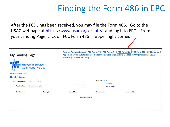## Finding the Form 486 in EPC

After the FCDL has been received, you may file the Form 486. Go to the USAC webpage at <https://www.usac.org/e-rate/>, and log into EPC. From your Landing Page, click on FCC Form 486 in upper right corner.

| <b>My Landing Page</b>             |                                                | Website   Contact Us   Help | Funding Request Report   FCC Form 470   FCC Form 471   FCC Form 486   FCC Form 500   SPIN Change  <br>Appeal   Service Substitution   Hurricane Impact Designation   Manage My Organization   USAC |                     |
|------------------------------------|------------------------------------------------|-----------------------------|----------------------------------------------------------------------------------------------------------------------------------------------------------------------------------------------------|---------------------|
| n Tung<br>Welcome, Education Plus! | <b>Universal Service</b><br>Administrative Co. |                             |                                                                                                                                                                                                    |                     |
| <b>Notifications</b>               |                                                |                             |                                                                                                                                                                                                    |                     |
| <b>Notification Type</b>           | Please select a value                          | ۰                           | Status <sup>O</sup> All<br>Generated                                                                                                                                                               |                     |
| <b>Funding Year</b>                | - Select a Funding Year --                     | $\overline{\phantom{a}}$    | Not Generated                                                                                                                                                                                      |                     |
| <b>Notification</b>                | <b>Description</b>                             | <b>Issued Date</b>          | <b>Generated By</b>                                                                                                                                                                                | <b>Generated On</b> |
|                                    |                                                | No items available          |                                                                                                                                                                                                    |                     |
|                                    |                                                |                             |                                                                                                                                                                                                    |                     |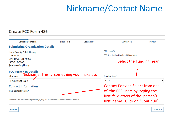# Nickname/Contact Name

| <b>Create FCC Form 486</b>                                                                               |                    |               |                                        |                 |  |
|----------------------------------------------------------------------------------------------------------|--------------------|---------------|----------------------------------------|-----------------|--|
|                                                                                                          |                    |               |                                        |                 |  |
| <b>General Information</b>                                                                               | <b>Select FRNs</b> | Detailed Info | Certification                          | Preview         |  |
| <b>Submitting Organization Details</b>                                                                   |                    |               |                                        |                 |  |
| <b>Local County Public Library</b>                                                                       |                    |               | BEN: 130079                            |                 |  |
| 123 Main St.                                                                                             |                    |               | FCC Registration Number: 0020669420    |                 |  |
| Any Town, OH 45000                                                                                       |                    |               |                                        |                 |  |
| 555-222-0000<br>jane.doe@mylib.org                                                                       |                    |               | Select the Funding Year                |                 |  |
| <b>FCC Form 486 Details</b><br>Nickname: This is something you make up.<br>Nickname*<br>FY2022 Cat 1 & 2 |                    |               | <b>Funding Year*</b><br>2022           |                 |  |
| <b>Contact Information</b>                                                                               |                    |               | <b>Contact Person: Select from one</b> |                 |  |
| <b>Main Contact Person *</b>                                                                             |                    |               | of the EPC users by typing the         |                 |  |
|                                                                                                          |                    |               | first few letters of the person's      |                 |  |
| Please select a main contact person by typing the contact person's name or email address.                |                    |               | first name. Click on "Continue"        |                 |  |
| <b>CANCEL</b>                                                                                            |                    |               |                                        | <b>CONTINUE</b> |  |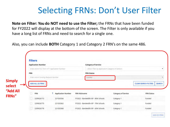# Selecting FRNs: Don't User Filter

**Note on Filter: You do NOT need to use the Filter;** the FRNs that have been funded for FY2022 will display at the bottom of the screen. The Filter is only available if you have a long list of FRNs and need to search for a single one.

Also, you can include **BOTH** Category 1 and Category 2 FRN's on the same 486.

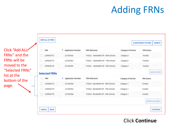# Adding FRNs

Click "Add ALL FRNs" and the FRNs will be moved to the "Selected FRNs" list at the bottom of the page.



#### Click **Continue**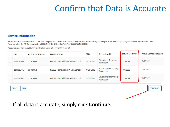## Confirm that Data is Accurate

#### **Service Information**

Please confirm that the information below is complete and accurate for the service(s) that you are confirming. Although it is uncommon, you may need to edit a service start date. To do so, select the FRN(s) you wish to update from the grid below. You may select multiple FRNs.

Please note that the Service Start Date in the below grid is from the FCC Form 471.

| <b>FRN</b>                   | <b>Application Number</b> | <b>FRN Nickname</b>                  | <b>SPIN</b> | <b>Service Provider</b>                      | <b>Service Start Date</b> | <b>Actual Service Start Date</b> |
|------------------------------|---------------------------|--------------------------------------|-------------|----------------------------------------------|---------------------------|----------------------------------|
| 2299026772                   | 221020356                 | FY2022 - Bandwidth-ISP - 80% Schools | 143043002   | <b>Educational Technology</b><br>Association | 7/1/2022                  | 7/1/2022                         |
| 2299026775                   | 221020362                 | FY2022 - Bandwidth-ISP - 70% Schools | 143043002   | <b>Educational Technology</b><br>Association | 7/1/2022                  | 7/1/2022                         |
| 2299026776                   | 221020366                 | FY2022 - Bandwidth-ISP - 60% Schools | 143043002   | <b>Educational Technology</b><br>Association | 7/1/2022                  | 7/1/2022                         |
| <b>BACK</b><br><b>CANCEL</b> |                           | <b>CONTINUE</b>                      |             |                                              |                           |                                  |

#### If all data is accurate, simply click **Continue.**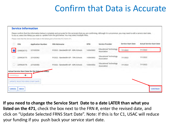## Confirm that Data is Accurate

|           |                                        |                                                          | To do so, select the FRN(s) you wish to update from the grid below. You may select multiple FRNs.<br>Please note that the Service Start Date in the below grid is from the FCC Form 471. |             |                                              |                           |                                  |
|-----------|----------------------------------------|----------------------------------------------------------|------------------------------------------------------------------------------------------------------------------------------------------------------------------------------------------|-------------|----------------------------------------------|---------------------------|----------------------------------|
|           | <b>FRN</b>                             | <b>Application Number</b>                                | <b>FRN Nickname</b>                                                                                                                                                                      | <b>SPIN</b> | <b>Service Provider</b>                      | <b>Service Start Date</b> | <b>Actual Service Start Date</b> |
|           | 2299026772                             | 221020356                                                | FY2022 - Bandwidth-ISP - 80% Schools                                                                                                                                                     | 143043002   | <b>Educational Technology</b><br>Association | 7/1/2022                  | 7/1/2022                         |
|           | 2299026775                             | 221020362                                                | FY2022 - Bandwidth-ISP - 70% Schools                                                                                                                                                     | 143043002   | <b>Educational Technology</b><br>Association | 7/1/2022                  | 7/1/2022                         |
|           | 2299026776                             | 221020366                                                | FY2022 - Bandwidth-ISP - 60% Schools                                                                                                                                                     | 143043002   | <b>Educational Technology</b><br>Association | 7/1/2022                  | 7/1/2022                         |
|           |                                        | <b>Actual Service Start Date for the Selected FRN(s)</b> |                                                                                                                                                                                          |             |                                              |                           |                                  |
| mm/dd/yyy | 齒                                      |                                                          |                                                                                                                                                                                          |             |                                              |                           |                                  |
|           | <b>UPDATE SELECTED FRNS START DATE</b> |                                                          |                                                                                                                                                                                          |             |                                              |                           |                                  |

**If you need to change the Service Start Date to a date LATER than what you listed on the 471**, check the box next to the FRN #, enter the revised date, and click on "Update Selected FRNS Start Date". Note: If this is for C1, USAC will reduce your funding if you push back your service start date.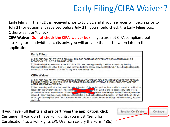# Early Filing/CIPA Waiver?

**Early Filing:** If the FCDL is received prior to July 31 and if your services will begin prior to July 31 (or equipment received before July 31), you should check the Early Filing box. Otherwise, don't check.

**CIPA Waiver: Do not check the CIPA waiver box**. If you are not CIPA compliant, but if asking for bandwidth circuits only, you will provide that certification later in the application.



**If you have Full Rights and are certifying the application, click Continue. (**If you don't have Full Rights, you must "Send for Certification" so a Full Rights EPC User can certify the Form 486.)

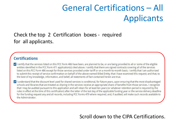# General Certifications – All Applicants

### Check the top 2 Certification boxes - required for all applicants.

#### **Certifications**

I certify that the services listed on this FCC Form 486 have been, are planned to be, or are being provided to all or some of the eligible entities identified in the FCC Form 471 application(s) cited above. I certify that there are signed contracts covering all of the services listed on this FCC Form 486 except for those services provided under tariff or on a month-to-month basis. I certify that I am authorized to submit this receipt of service confirmation on behalf of the above-named Billed Entity; that I have examined this request; and that, to the best of my knowledge, information, and belief, all statements of fact contained herein are true.

I understand that the discount level used for shared services is conditional, for future years, upon ensuring that the most disadvantaged schools and libraries that are treated as sharing in the services receive an appropriate share of benefits from those services. I recognize that I may be audited pursuant to this application and will retain for at least ten years (or whatever retention period is required by the rules in effect at the time of this certification) after the latter of the last day of the applicable funding year or the service delivery deadline for the funding request any and all records, including FCC Forms 479 where required, and, if audited, will make such records available to the Administrator.

### Scroll down to the CIPA Certifications.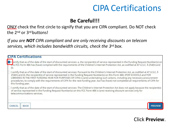### CIPA Certifications

#### **Be Careful!!!**

ONLY check the first circle to signify that you are CIPA compliant. Do NOT check the 2nd or 3rd buttons!

*If you are NOT CIPA compliant and are only receiving discounts on telecom services, which includes bandwidth circuits, check the 3rd box.*

| <b>CIPA Certifications</b>                                                                                                                                                                                                                                                                                                                                                                                                                                                                                                                                                                 |
|--------------------------------------------------------------------------------------------------------------------------------------------------------------------------------------------------------------------------------------------------------------------------------------------------------------------------------------------------------------------------------------------------------------------------------------------------------------------------------------------------------------------------------------------------------------------------------------------|
| O I tertify that as of the date of the start of discounted services: a. the recipient(s) of service represented in the Funding Request Number(s) on<br>this FCC Form 486 has (have) complied with the requirements of the Children's Internet Protection Act, as codified at 47 U.S.C. § 254(h) and<br>(1).                                                                                                                                                                                                                                                                                |
| I certify that as of the date of the start of discounted services: Pursuant to the Children's Internet Protection Act, as codified at 47 U.S.C. §<br>254(h) and (l), the recipient(s) of service represented in the Funding Request Number(s) on this Form 486: (FOR SCHOOLS and FOR<br>LIBRARIES IN THE FIRST FUNDING YEAR FOR PURPOSES OF CIPA) is (are) undertaking such actions, including any necessary procurement<br>procedures, to comply with the requirements of CIPA for the next funding year, but has (have) not completed all requirements of CIPA for<br>this funding year. |
| I certify that as of the date of the start of discounted services: The Children's Internet Protection Act does not apply because the recipient(s)<br>of service represented in the Funding Request Number(s) on this FCC Form 486 is (are) receiving discount services only for<br>telecommunications services.                                                                                                                                                                                                                                                                            |
| <b>CANCEL</b><br><b>BACK</b>                                                                                                                                                                                                                                                                                                                                                                                                                                                                                                                                                               |

#### Click **Preview**.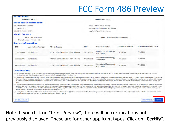### FCC Form 486 Preview

| <b>Form Details</b>             |                                                                                |                                                                                                                                                                                                                                                                                                                                                                                                                                                                                                                                                                                                                                                                                    |             |                                              |                               |                                        |
|---------------------------------|--------------------------------------------------------------------------------|------------------------------------------------------------------------------------------------------------------------------------------------------------------------------------------------------------------------------------------------------------------------------------------------------------------------------------------------------------------------------------------------------------------------------------------------------------------------------------------------------------------------------------------------------------------------------------------------------------------------------------------------------------------------------------|-------------|----------------------------------------------|-------------------------------|----------------------------------------|
|                                 | Nickname FY2022                                                                |                                                                                                                                                                                                                                                                                                                                                                                                                                                                                                                                                                                                                                                                                    |             | Funding Year 2022                            |                               |                                        |
|                                 | <b>Billed Entity Information</b>                                               |                                                                                                                                                                                                                                                                                                                                                                                                                                                                                                                                                                                                                                                                                    |             |                                              |                               |                                        |
| <b>COUNTY DISTRICT LIBRARY</b>  |                                                                                |                                                                                                                                                                                                                                                                                                                                                                                                                                                                                                                                                                                                                                                                                    |             | Billed Entity Number: 129000                 |                               |                                        |
| 117 S JACKSON ST                |                                                                                |                                                                                                                                                                                                                                                                                                                                                                                                                                                                                                                                                                                                                                                                                    |             | FCC Registration Number: 0011623568          |                               |                                        |
| NEW LEXINGTON, OH 43764         |                                                                                |                                                                                                                                                                                                                                                                                                                                                                                                                                                                                                                                                                                                                                                                                    |             | Applicant Type: Library System               |                               |                                        |
| <b>Main Contact</b>             |                                                                                |                                                                                                                                                                                                                                                                                                                                                                                                                                                                                                                                                                                                                                                                                    |             |                                              |                               |                                        |
|                                 | Name Lorrie Germann<br>Phone Number 740-253-1153                               |                                                                                                                                                                                                                                                                                                                                                                                                                                                                                                                                                                                                                                                                                    |             | Email                                        | jane.smith@county.library.org |                                        |
| <b>Service Information</b>      |                                                                                |                                                                                                                                                                                                                                                                                                                                                                                                                                                                                                                                                                                                                                                                                    |             |                                              |                               |                                        |
| <b>FRN</b>                      | <b>Application Number</b>                                                      | <b>FRN Nickname</b>                                                                                                                                                                                                                                                                                                                                                                                                                                                                                                                                                                                                                                                                | <b>SPIN</b> | <b>Service Provider</b>                      | <b>Service Start Date</b>     | <b>Actual Service Start Date</b>       |
| 2299026772                      | 221020356                                                                      | FY2022 - Bandwidth-ISP - 80% Schools                                                                                                                                                                                                                                                                                                                                                                                                                                                                                                                                                                                                                                               | 143043002   | <b>Educational Technology</b><br>Association | 7/1/2022                      | 7/1/2022                               |
| 2299026775                      | 221020362                                                                      | FY2022 - Bandwidth-ISP - 70% Schools                                                                                                                                                                                                                                                                                                                                                                                                                                                                                                                                                                                                                                               | 143043002   | <b>Educational Technology</b><br>Association | 7/1/2022                      | 7/1/2022                               |
| 2299026776                      | 221020366                                                                      | FY2022 - Bandwidth-ISP - 60% Schools                                                                                                                                                                                                                                                                                                                                                                                                                                                                                                                                                                                                                                               | 143043002   | <b>Educational Technology</b><br>Association | 7/1/2022                      | 7/1/2022                               |
| <b>Certifications</b>           |                                                                                |                                                                                                                                                                                                                                                                                                                                                                                                                                                                                                                                                                                                                                                                                    |             |                                              |                               |                                        |
|                                 |                                                                                | The Funding Requests listed in this FCC Form 486 have been approved by USAC as shown in my Funding Commitment Decision Letter (FCDL). I have confirmed with the service providents) featured in those<br>Funding Requests that these services will start on or before July 31 of the Funding Year.                                                                                                                                                                                                                                                                                                                                                                                 |             |                                              |                               |                                        |
| true.                           |                                                                                | I certify that the services listed on this FCC Form 486 have been, are planned to be, or are being provided to all or some of the eligible entities identified in the FCC Form 471 application(s) cited above. I certify that<br>there are signed contracts covering all of the services listed on this FCC Form 486 except for those services provided under tariff or on a month-to-month-basis. I certify that I am authorized to submit this receipt<br>of service confirmation on behalf of the above-named Billed Entity: that I have examined this request; and that, to the best of my knowledge, information, and belief, all statements of fact contained herein are     |             |                                              |                               |                                        |
|                                 | and, if audited, will make such records available to the Administrator.        | ight understand that the discount level used for shared services is conditional, for future years, upon ensuring that the most disadvantaged schools and libraries that are treated as sharing in the services receive an<br>appropriate share of benefits from those services. I recognize that I may be audited pursuant to this application and will retain for at least ten years (or whatever retention period is required by the rules in effect<br>at the time of this certification) after the latter of the last day of the applicable funding year or the service delivery deadline for the funding request any and all records, including FCC Forms 479 where required, |             |                                              |                               |                                        |
|                                 | Children's Internet Protection Act, as codified at 47 U.S.C. § 254(h) and (i). | In certify that as of the date of the start of discounted services: a. the recipient(s) of service represented in the Funding Request Number(s) on this FCC Form 486 has (have) complied with the requirements of the                                                                                                                                                                                                                                                                                                                                                                                                                                                              |             |                                              |                               |                                        |
| <b>CANCEL II</b><br><b>BACK</b> |                                                                                |                                                                                                                                                                                                                                                                                                                                                                                                                                                                                                                                                                                                                                                                                    |             |                                              |                               | <b>PRINT PREVIEW</b><br><b>CERTIFY</b> |

Note: If you click on "Print Preview", there will be certifications not previously displayed. These are for other applicant types. Click on "**Certify**".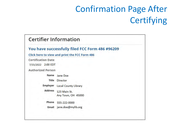# Confirmation Page After **Certifying**

#### **Certifier Information**

#### You have successfully filed FCC Form 486 #96209

Click here to view and print the FCC Form 486

**Certification Date** 

7/15/2022 2:00 EDT

**Authorized Person** 

Name Jane Doe

**Title Director** 

Employer **Local County Library** 

Address 123 Main St. Any Town, OH 45000

Phone 555-222-0000

jane.doe@mylib.org Email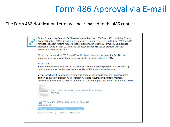## Form 486 Approval via E-mail

#### The Form 486 Notification Letter will be e-mailed to the 486 contact

E-rate Productivity Center USAC has received and reviewed FCC Forms 486 containing Funding Request Numbers (FRNs) included in the attached files. You may receive additional FCC Form 486 notifications about funding requests that you identified in other FCC Forms 486. Each service provider included on the FCC Form 486 Notification Letter will also be provided with the information in this notification.

Please read the attached FCC Form 486 Notification Letter and corresponding Excel file for important information about any changes made to the form and/or the FRNs.

#### **NEXT STEPS**

. If not determined already, we recommend applicants and service providers discuss invoicing options, and ensure that both parties are familiar with the invoice deadline date.

. Applicants have the option of receiving a bill from service providers for any non-discounted portion, as stated in program rules. Program rules also require participants to maintain documentation for at least 10 years after the last day of the applicable funding year or the ... More

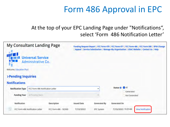# Form 486 Approval in EPC

### At the top of your EPC Landing Page under "Notifications", select 'Form 486 Notification Letter'

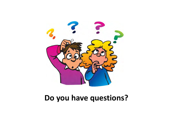

### **Do you have questions?**